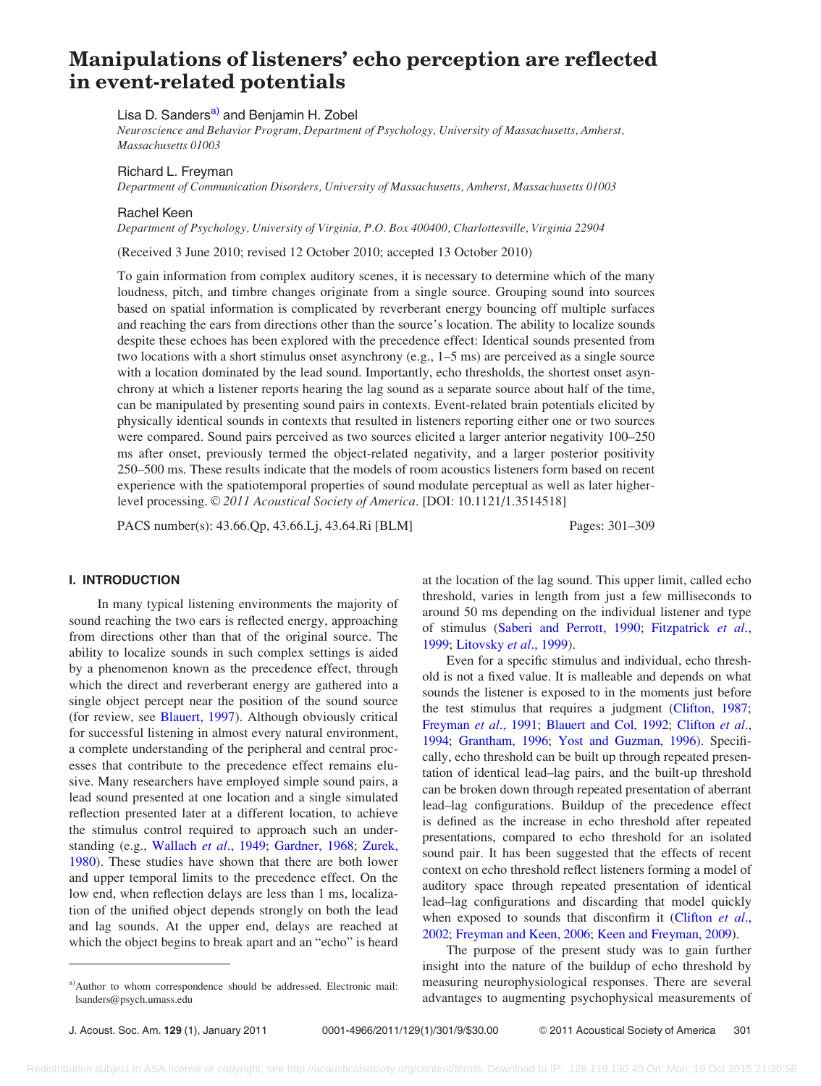# Manipulations of listeners' echo perception are reflected in event-related potentials

## Lisa D. Sanders<sup>a)</sup> and Benjamin H. Zobel

Neuroscience and Behavior Program, Department of Psychology, University of Massachusetts, Amherst, Massachusetts 01003

# Richard L. Freyman

Department of Communication Disorders, University of Massachusetts, Amherst, Massachusetts 01003

#### Rachel Keen

Department of Psychology, University of Virginia, P.O. Box 400400, Charlottesville, Virginia 22904

(Received 3 June 2010; revised 12 October 2010; accepted 13 October 2010)

To gain information from complex auditory scenes, it is necessary to determine which of the many loudness, pitch, and timbre changes originate from a single source. Grouping sound into sources based on spatial information is complicated by reverberant energy bouncing off multiple surfaces and reaching the ears from directions other than the source's location. The ability to localize sounds despite these echoes has been explored with the precedence effect: Identical sounds presented from two locations with a short stimulus onset asynchrony (e.g., 1–5 ms) are perceived as a single source with a location dominated by the lead sound. Importantly, echo thresholds, the shortest onset asynchrony at which a listener reports hearing the lag sound as a separate source about half of the time, can be manipulated by presenting sound pairs in contexts. Event-related brain potentials elicited by physically identical sounds in contexts that resulted in listeners reporting either one or two sources were compared. Sound pairs perceived as two sources elicited a larger anterior negativity 100–250 ms after onset, previously termed the object-related negativity, and a larger posterior positivity 250–500 ms. These results indicate that the models of room acoustics listeners form based on recent experience with the spatiotemporal properties of sound modulate perceptual as well as later higherlevel processing. © 2011 Acoustical Society of America. [DOI: 10.1121/1.3514518]

PACS number(s): 43.66.Qp, 43.66.Lj, 43.64.Ri [BLM] Pages: 301–309

## I. INTRODUCTION

In many typical listening environments the majority of sound reaching the two ears is reflected energy, approaching from directions other than that of the original source. The ability to localize sounds in such complex settings is aided by a phenomenon known as the precedence effect, through which the direct and reverberant energy are gathered into a single object percept near the position of the sound source (for review, see [Blauert, 1997](#page-8-0)). Although obviously critical for successful listening in almost every natural environment, a complete understanding of the peripheral and central processes that contribute to the precedence effect remains elusive. Many researchers have employed simple sound pairs, a lead sound presented at one location and a single simulated reflection presented later at a different location, to achieve the stimulus control required to approach such an understanding (e.g., [Wallach](#page-8-0) et al., 1949; [Gardner, 1968;](#page-8-0) [Zurek,](#page-8-0) [1980\)](#page-8-0). These studies have shown that there are both lower and upper temporal limits to the precedence effect. On the low end, when reflection delays are less than 1 ms, localization of the unified object depends strongly on both the lead and lag sounds. At the upper end, delays are reached at which the object begins to break apart and an "echo" is heard

a)Author to whom correspondence should be addressed. Electronic mail: lsanders@psych.umass.edu

at the location of the lag sound. This upper limit, called echo threshold, varies in length from just a few milliseconds to around 50 ms depending on the individual listener and type of stimulus ([Saberi and Perrott, 1990;](#page-8-0) [Fitzpatrick](#page-8-0) et al., [1999;](#page-8-0) [Litovsky](#page-8-0) et al., 1999).

Even for a specific stimulus and individual, echo threshold is not a fixed value. It is malleable and depends on what sounds the listener is exposed to in the moments just before the test stimulus that requires a judgment [\(Clifton, 1987;](#page-8-0) [Freyman](#page-8-0) et al., 1991; [Blauert and Col, 1992;](#page-8-0) [Clifton](#page-8-0) et al., [1994;](#page-8-0) [Grantham, 1996;](#page-8-0) [Yost and Guzman, 1996](#page-8-0)). Specifically, echo threshold can be built up through repeated presentation of identical lead–lag pairs, and the built-up threshold can be broken down through repeated presentation of aberrant lead–lag configurations. Buildup of the precedence effect is defined as the increase in echo threshold after repeated presentations, compared to echo threshold for an isolated sound pair. It has been suggested that the effects of recent context on echo threshold reflect listeners forming a model of auditory space through repeated presentation of identical lead–lag configurations and discarding that model quickly when exposed to sounds that disconfirm it [\(Clifton](#page-8-0) et al., [2002;](#page-8-0) [Freyman and Keen, 2006](#page-8-0); [Keen and Freyman, 2009\)](#page-8-0).

The purpose of the present study was to gain further insight into the nature of the buildup of echo threshold by measuring neurophysiological responses. There are several advantages to augmenting psychophysical measurements of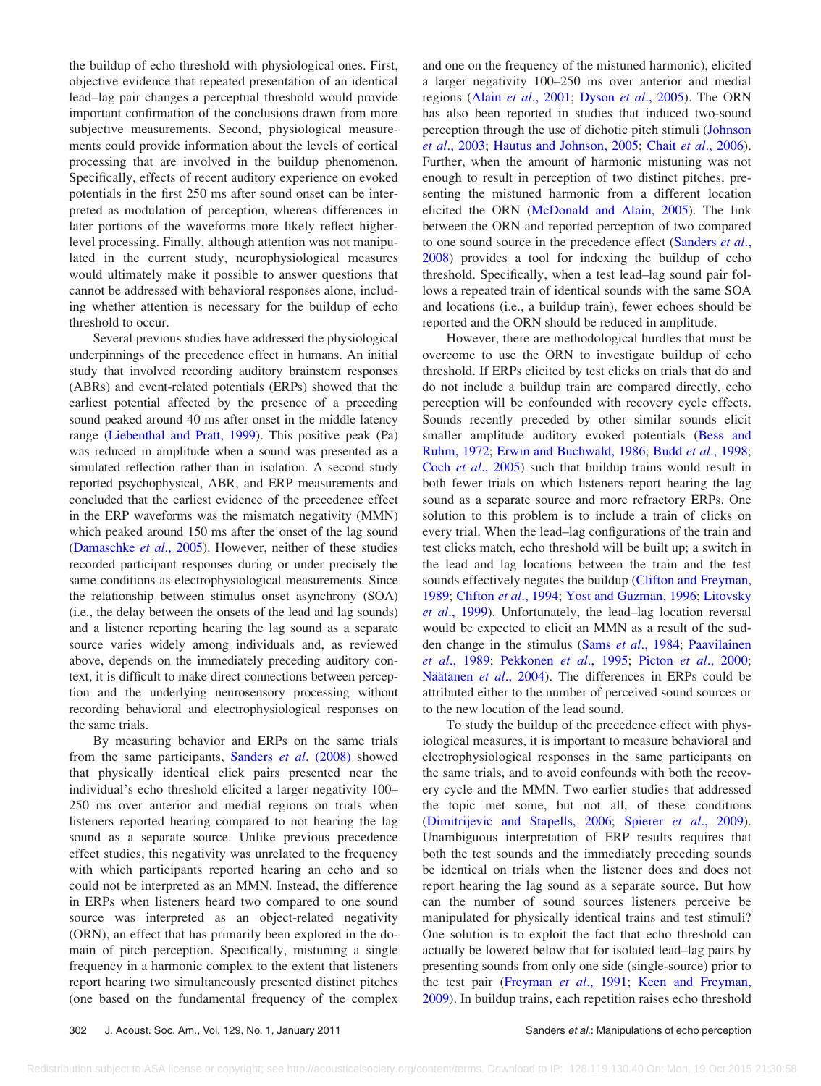the buildup of echo threshold with physiological ones. First, objective evidence that repeated presentation of an identical lead–lag pair changes a perceptual threshold would provide important confirmation of the conclusions drawn from more subjective measurements. Second, physiological measurements could provide information about the levels of cortical processing that are involved in the buildup phenomenon. Specifically, effects of recent auditory experience on evoked potentials in the first 250 ms after sound onset can be interpreted as modulation of perception, whereas differences in later portions of the waveforms more likely reflect higherlevel processing. Finally, although attention was not manipulated in the current study, neurophysiological measures would ultimately make it possible to answer questions that cannot be addressed with behavioral responses alone, including whether attention is necessary for the buildup of echo threshold to occur.

Several previous studies have addressed the physiological underpinnings of the precedence effect in humans. An initial study that involved recording auditory brainstem responses (ABRs) and event-related potentials (ERPs) showed that the earliest potential affected by the presence of a preceding sound peaked around 40 ms after onset in the middle latency range [\(Liebenthal and Pratt, 1999\)](#page-8-0). This positive peak (Pa) was reduced in amplitude when a sound was presented as a simulated reflection rather than in isolation. A second study reported psychophysical, ABR, and ERP measurements and concluded that the earliest evidence of the precedence effect in the ERP waveforms was the mismatch negativity (MMN) which peaked around 150 ms after the onset of the lag sound ([Damaschke](#page-8-0) et al., 2005). However, neither of these studies recorded participant responses during or under precisely the same conditions as electrophysiological measurements. Since the relationship between stimulus onset asynchrony (SOA) (i.e., the delay between the onsets of the lead and lag sounds) and a listener reporting hearing the lag sound as a separate source varies widely among individuals and, as reviewed above, depends on the immediately preceding auditory context, it is difficult to make direct connections between perception and the underlying neurosensory processing without recording behavioral and electrophysiological responses on the same trials.

By measuring behavior and ERPs on the same trials from the same participants, Sanders et al[. \(2008\)](#page-8-0) showed that physically identical click pairs presented near the individual's echo threshold elicited a larger negativity 100– 250 ms over anterior and medial regions on trials when listeners reported hearing compared to not hearing the lag sound as a separate source. Unlike previous precedence effect studies, this negativity was unrelated to the frequency with which participants reported hearing an echo and so could not be interpreted as an MMN. Instead, the difference in ERPs when listeners heard two compared to one sound source was interpreted as an object-related negativity (ORN), an effect that has primarily been explored in the domain of pitch perception. Specifically, mistuning a single frequency in a harmonic complex to the extent that listeners report hearing two simultaneously presented distinct pitches (one based on the fundamental frequency of the complex and one on the frequency of the mistuned harmonic), elicited a larger negativity 100–250 ms over anterior and medial regions (Alain et al[., 2001;](#page-8-0) Dyson et al[., 2005](#page-8-0)). The ORN has also been reported in studies that induced two-sound perception through the use of dichotic pitch stimuli ([Johnson](#page-8-0) et al[., 2003;](#page-8-0) [Hautus and Johnson, 2005](#page-8-0); Chait et al[., 2006\)](#page-8-0). Further, when the amount of harmonic mistuning was not enough to result in perception of two distinct pitches, presenting the mistuned harmonic from a different location elicited the ORN [\(McDonald and Alain, 2005](#page-8-0)). The link between the ORN and reported perception of two compared to one sound source in the precedence effect ([Sanders](#page-8-0) et al., [2008](#page-8-0)) provides a tool for indexing the buildup of echo threshold. Specifically, when a test lead–lag sound pair follows a repeated train of identical sounds with the same SOA and locations (i.e., a buildup train), fewer echoes should be reported and the ORN should be reduced in amplitude.

However, there are methodological hurdles that must be overcome to use the ORN to investigate buildup of echo threshold. If ERPs elicited by test clicks on trials that do and do not include a buildup train are compared directly, echo perception will be confounded with recovery cycle effects. Sounds recently preceded by other similar sounds elicit smaller amplitude auditory evoked potentials ([Bess and](#page-8-0) [Ruhm, 1972;](#page-8-0) [Erwin and Buchwald, 1986](#page-8-0); Budd et al[., 1998;](#page-8-0) Coch et al[., 2005](#page-8-0)) such that buildup trains would result in both fewer trials on which listeners report hearing the lag sound as a separate source and more refractory ERPs. One solution to this problem is to include a train of clicks on every trial. When the lead–lag configurations of the train and test clicks match, echo threshold will be built up; a switch in the lead and lag locations between the train and the test sounds effectively negates the buildup [\(Clifton and Freyman,](#page-8-0) [1989;](#page-8-0) [Clifton](#page-8-0) et al., 1994; [Yost and Guzman, 1996](#page-8-0); [Litovsky](#page-8-0) et al[., 1999\)](#page-8-0). Unfortunately, the lead–lag location reversal would be expected to elicit an MMN as a result of the sudden change in the stimulus (Sams et al[., 1984](#page-8-0); [Paavilainen](#page-8-0) et al[., 1989](#page-8-0); [Pekkonen](#page-8-0) et al., 1995; Picton et al[., 2000;](#page-8-0) Näätänen et al., 2004). The differences in ERPs could be attributed either to the number of perceived sound sources or to the new location of the lead sound.

To study the buildup of the precedence effect with physiological measures, it is important to measure behavioral and electrophysiological responses in the same participants on the same trials, and to avoid confounds with both the recovery cycle and the MMN. Two earlier studies that addressed the topic met some, but not all, of these conditions [\(Dimitrijevic and Stapells, 2006](#page-8-0); Spierer et al[., 2009\)](#page-8-0). Unambiguous interpretation of ERP results requires that both the test sounds and the immediately preceding sounds be identical on trials when the listener does and does not report hearing the lag sound as a separate source. But how can the number of sound sources listeners perceive be manipulated for physically identical trains and test stimuli? One solution is to exploit the fact that echo threshold can actually be lowered below that for isolated lead–lag pairs by presenting sounds from only one side (single-source) prior to the test pair [\(Freyman](#page-8-0) et al., 1991; [Keen and Freyman,](#page-8-0) [2009\)](#page-8-0). In buildup trains, each repetition raises echo threshold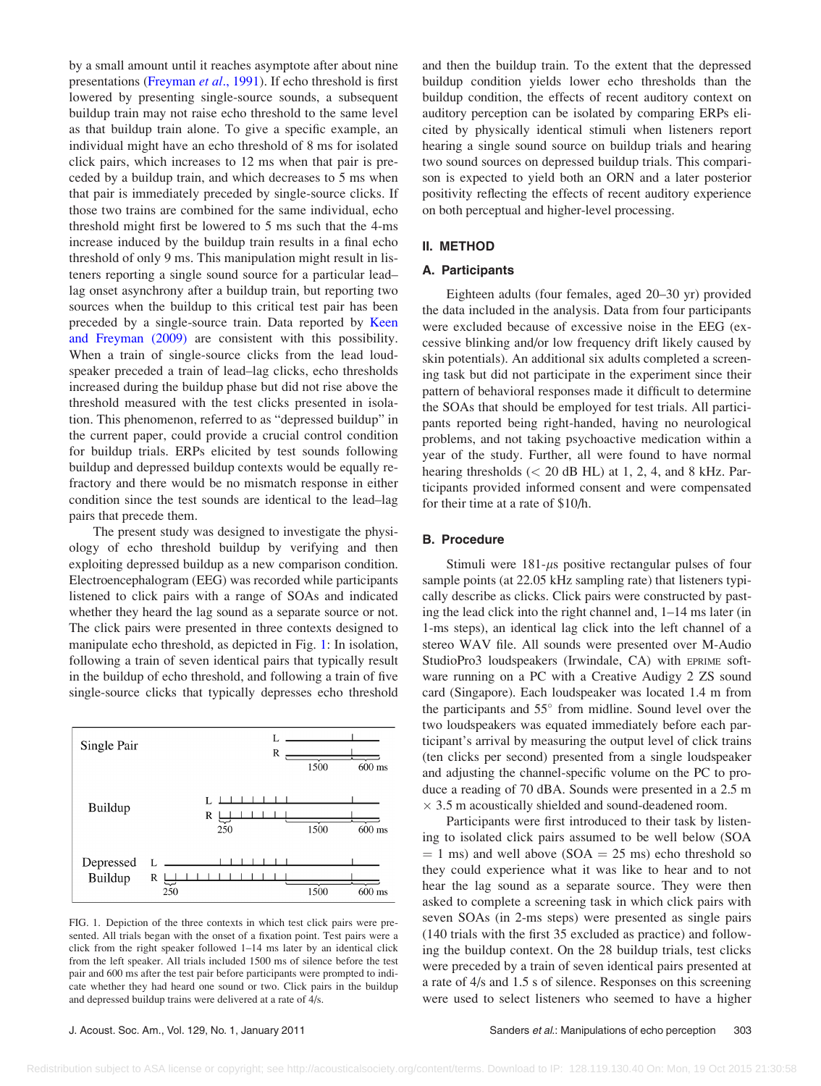<span id="page-2-0"></span>by a small amount until it reaches asymptote after about nine presentations [\(Freyman](#page-8-0) et al., 1991). If echo threshold is first lowered by presenting single-source sounds, a subsequent buildup train may not raise echo threshold to the same level as that buildup train alone. To give a specific example, an individual might have an echo threshold of 8 ms for isolated click pairs, which increases to 12 ms when that pair is preceded by a buildup train, and which decreases to 5 ms when that pair is immediately preceded by single-source clicks. If those two trains are combined for the same individual, echo threshold might first be lowered to 5 ms such that the 4-ms increase induced by the buildup train results in a final echo threshold of only 9 ms. This manipulation might result in listeners reporting a single sound source for a particular lead– lag onset asynchrony after a buildup train, but reporting two sources when the buildup to this critical test pair has been preceded by a single-source train. Data reported by [Keen](#page-8-0) [and Freyman \(2009\)](#page-8-0) are consistent with this possibility. When a train of single-source clicks from the lead loudspeaker preceded a train of lead–lag clicks, echo thresholds increased during the buildup phase but did not rise above the threshold measured with the test clicks presented in isolation. This phenomenon, referred to as "depressed buildup" in the current paper, could provide a crucial control condition for buildup trials. ERPs elicited by test sounds following buildup and depressed buildup contexts would be equally refractory and there would be no mismatch response in either condition since the test sounds are identical to the lead–lag pairs that precede them.

The present study was designed to investigate the physiology of echo threshold buildup by verifying and then exploiting depressed buildup as a new comparison condition. Electroencephalogram (EEG) was recorded while participants listened to click pairs with a range of SOAs and indicated whether they heard the lag sound as a separate source or not. The click pairs were presented in three contexts designed to manipulate echo threshold, as depicted in Fig. 1: In isolation, following a train of seven identical pairs that typically result in the buildup of echo threshold, and following a train of five single-source clicks that typically depresses echo threshold



FIG. 1. Depiction of the three contexts in which test click pairs were presented. All trials began with the onset of a fixation point. Test pairs were a click from the right speaker followed 1–14 ms later by an identical click from the left speaker. All trials included 1500 ms of silence before the test pair and 600 ms after the test pair before participants were prompted to indicate whether they had heard one sound or two. Click pairs in the buildup and depressed buildup trains were delivered at a rate of 4/s.

and then the buildup train. To the extent that the depressed buildup condition yields lower echo thresholds than the buildup condition, the effects of recent auditory context on auditory perception can be isolated by comparing ERPs elicited by physically identical stimuli when listeners report hearing a single sound source on buildup trials and hearing two sound sources on depressed buildup trials. This comparison is expected to yield both an ORN and a later posterior positivity reflecting the effects of recent auditory experience on both perceptual and higher-level processing.

#### II. METHOD

### A. Participants

Eighteen adults (four females, aged 20–30 yr) provided the data included in the analysis. Data from four participants were excluded because of excessive noise in the EEG (excessive blinking and/or low frequency drift likely caused by skin potentials). An additional six adults completed a screening task but did not participate in the experiment since their pattern of behavioral responses made it difficult to determine the SOAs that should be employed for test trials. All participants reported being right-handed, having no neurological problems, and not taking psychoactive medication within a year of the study. Further, all were found to have normal hearing thresholds (< 20 dB HL) at 1, 2, 4, and 8 kHz. Participants provided informed consent and were compensated for their time at a rate of \$10/h.

## B. Procedure

Stimuli were  $181$ - $\mu$ s positive rectangular pulses of four sample points (at 22.05 kHz sampling rate) that listeners typically describe as clicks. Click pairs were constructed by pasting the lead click into the right channel and, 1–14 ms later (in 1-ms steps), an identical lag click into the left channel of a stereo WAV file. All sounds were presented over M-Audio StudioPro3 loudspeakers (Irwindale, CA) with EPRIME software running on a PC with a Creative Audigy 2 ZS sound card (Singapore). Each loudspeaker was located 1.4 m from the participants and 55° from midline. Sound level over the two loudspeakers was equated immediately before each participant's arrival by measuring the output level of click trains (ten clicks per second) presented from a single loudspeaker and adjusting the channel-specific volume on the PC to produce a reading of 70 dBA. Sounds were presented in a 2.5 m  $\times$  3.5 m acoustically shielded and sound-deadened room.

Participants were first introduced to their task by listening to isolated click pairs assumed to be well below (SOA  $= 1$  ms) and well above (SOA  $= 25$  ms) echo threshold so they could experience what it was like to hear and to not hear the lag sound as a separate source. They were then asked to complete a screening task in which click pairs with seven SOAs (in 2-ms steps) were presented as single pairs (140 trials with the first 35 excluded as practice) and following the buildup context. On the 28 buildup trials, test clicks were preceded by a train of seven identical pairs presented at a rate of 4/s and 1.5 s of silence. Responses on this screening were used to select listeners who seemed to have a higher

Redistribution subject to ASA license or copyright; see http://acousticalsociety.org/content/terms. Download to IP: 128.119.130.40 On: Mon, 19 Oct 2015 21:30:58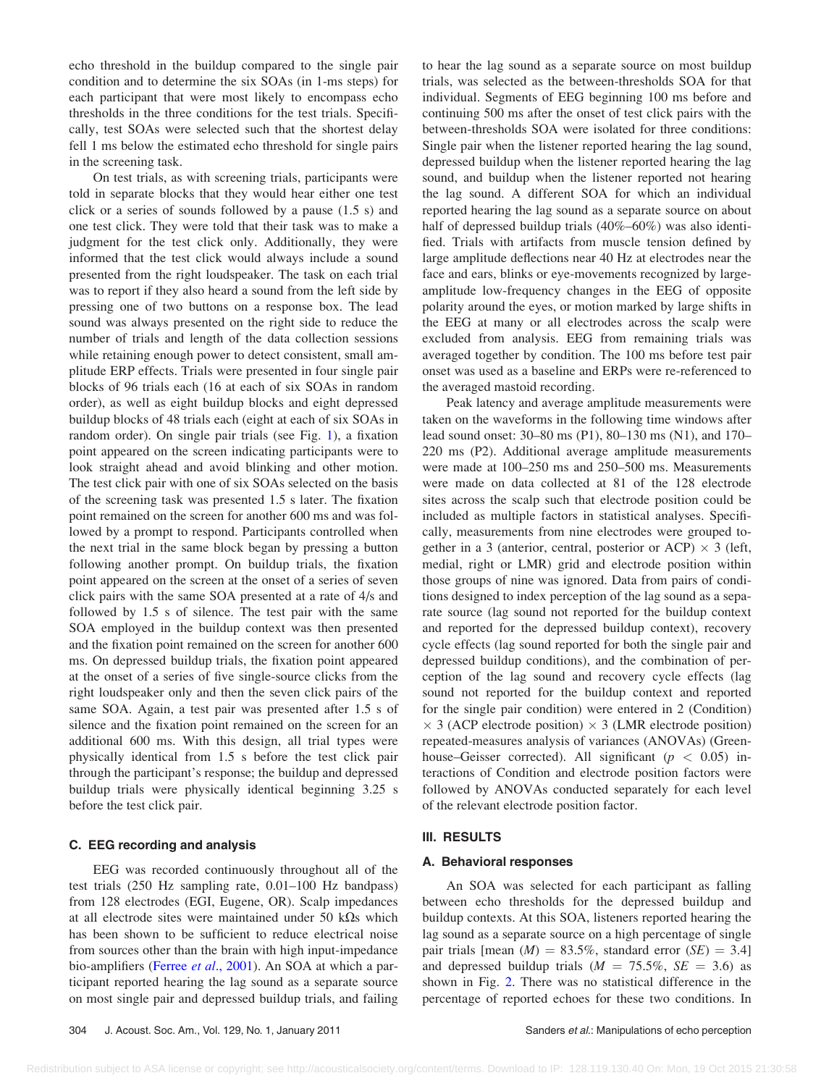echo threshold in the buildup compared to the single pair condition and to determine the six SOAs (in 1-ms steps) for each participant that were most likely to encompass echo thresholds in the three conditions for the test trials. Specifically, test SOAs were selected such that the shortest delay fell 1 ms below the estimated echo threshold for single pairs in the screening task.

On test trials, as with screening trials, participants were told in separate blocks that they would hear either one test click or a series of sounds followed by a pause (1.5 s) and one test click. They were told that their task was to make a judgment for the test click only. Additionally, they were informed that the test click would always include a sound presented from the right loudspeaker. The task on each trial was to report if they also heard a sound from the left side by pressing one of two buttons on a response box. The lead sound was always presented on the right side to reduce the number of trials and length of the data collection sessions while retaining enough power to detect consistent, small amplitude ERP effects. Trials were presented in four single pair blocks of 96 trials each (16 at each of six SOAs in random order), as well as eight buildup blocks and eight depressed buildup blocks of 48 trials each (eight at each of six SOAs in random order). On single pair trials (see Fig. [1](#page-2-0)), a fixation point appeared on the screen indicating participants were to look straight ahead and avoid blinking and other motion. The test click pair with one of six SOAs selected on the basis of the screening task was presented 1.5 s later. The fixation point remained on the screen for another 600 ms and was followed by a prompt to respond. Participants controlled when the next trial in the same block began by pressing a button following another prompt. On buildup trials, the fixation point appeared on the screen at the onset of a series of seven click pairs with the same SOA presented at a rate of 4/s and followed by 1.5 s of silence. The test pair with the same SOA employed in the buildup context was then presented and the fixation point remained on the screen for another 600 ms. On depressed buildup trials, the fixation point appeared at the onset of a series of five single-source clicks from the right loudspeaker only and then the seven click pairs of the same SOA. Again, a test pair was presented after 1.5 s of silence and the fixation point remained on the screen for an additional 600 ms. With this design, all trial types were physically identical from 1.5 s before the test click pair through the participant's response; the buildup and depressed buildup trials were physically identical beginning 3.25 s before the test click pair.

#### C. EEG recording and analysis

EEG was recorded continuously throughout all of the test trials (250 Hz sampling rate, 0.01–100 Hz bandpass) from 128 electrodes (EGI, Eugene, OR). Scalp impedances at all electrode sites were maintained under 50 k $\Omega$ s which has been shown to be sufficient to reduce electrical noise from sources other than the brain with high input-impedance bio-amplifiers (Ferree et al[., 2001\)](#page-8-0). An SOA at which a participant reported hearing the lag sound as a separate source on most single pair and depressed buildup trials, and failing to hear the lag sound as a separate source on most buildup trials, was selected as the between-thresholds SOA for that individual. Segments of EEG beginning 100 ms before and continuing 500 ms after the onset of test click pairs with the between-thresholds SOA were isolated for three conditions: Single pair when the listener reported hearing the lag sound, depressed buildup when the listener reported hearing the lag sound, and buildup when the listener reported not hearing the lag sound. A different SOA for which an individual reported hearing the lag sound as a separate source on about half of depressed buildup trials (40%–60%) was also identified. Trials with artifacts from muscle tension defined by large amplitude deflections near 40 Hz at electrodes near the face and ears, blinks or eye-movements recognized by largeamplitude low-frequency changes in the EEG of opposite polarity around the eyes, or motion marked by large shifts in the EEG at many or all electrodes across the scalp were excluded from analysis. EEG from remaining trials was averaged together by condition. The 100 ms before test pair onset was used as a baseline and ERPs were re-referenced to the averaged mastoid recording.

Peak latency and average amplitude measurements were taken on the waveforms in the following time windows after lead sound onset: 30–80 ms (P1), 80–130 ms (N1), and 170– 220 ms (P2). Additional average amplitude measurements were made at 100–250 ms and 250–500 ms. Measurements were made on data collected at 81 of the 128 electrode sites across the scalp such that electrode position could be included as multiple factors in statistical analyses. Specifically, measurements from nine electrodes were grouped together in a 3 (anterior, central, posterior or ACP)  $\times$  3 (left, medial, right or LMR) grid and electrode position within those groups of nine was ignored. Data from pairs of conditions designed to index perception of the lag sound as a separate source (lag sound not reported for the buildup context and reported for the depressed buildup context), recovery cycle effects (lag sound reported for both the single pair and depressed buildup conditions), and the combination of perception of the lag sound and recovery cycle effects (lag sound not reported for the buildup context and reported for the single pair condition) were entered in 2 (Condition)  $\times$  3 (ACP electrode position)  $\times$  3 (LMR electrode position) repeated-measures analysis of variances (ANOVAs) (Greenhouse–Geisser corrected). All significant ( $p < 0.05$ ) interactions of Condition and electrode position factors were followed by ANOVAs conducted separately for each level of the relevant electrode position factor.

#### III. RESULTS

#### A. Behavioral responses

An SOA was selected for each participant as falling between echo thresholds for the depressed buildup and buildup contexts. At this SOA, listeners reported hearing the lag sound as a separate source on a high percentage of single pair trials [mean  $(M) = 83.5\%$ , standard error  $(SE) = 3.4$ ] and depressed buildup trials ( $M = 75.5\%$ ,  $SE = 3.6$ ) as shown in Fig. [2.](#page-4-0) There was no statistical difference in the percentage of reported echoes for these two conditions. In

Redistribution subject to ASA license or copyright; see http://acousticalsociety.org/content/terms. Download to IP: 128.119.130.40 On: Mon, 19 Oct 2015 21:30:58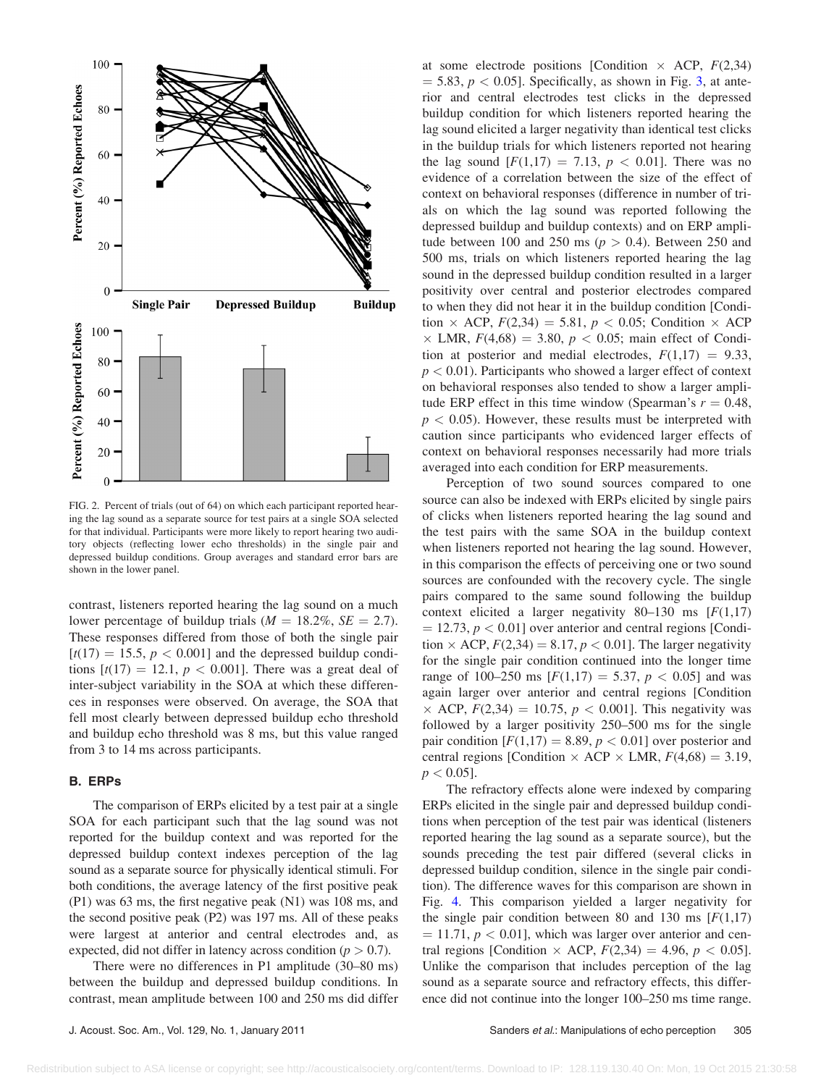<span id="page-4-0"></span>

FIG. 2. Percent of trials (out of 64) on which each participant reported hearing the lag sound as a separate source for test pairs at a single SOA selected for that individual. Participants were more likely to report hearing two auditory objects (reflecting lower echo thresholds) in the single pair and depressed buildup conditions. Group averages and standard error bars are shown in the lower panel.

contrast, listeners reported hearing the lag sound on a much lower percentage of buildup trials ( $M = 18.2\%$ ,  $SE = 2.7$ ). These responses differed from those of both the single pair  $[t(17) = 15.5, p < 0.001]$  and the depressed buildup conditions  $[t(17) = 12.1, p < 0.001]$ . There was a great deal of inter-subject variability in the SOA at which these differences in responses were observed. On average, the SOA that fell most clearly between depressed buildup echo threshold and buildup echo threshold was 8 ms, but this value ranged from 3 to 14 ms across participants.

#### B. ERPs

The comparison of ERPs elicited by a test pair at a single SOA for each participant such that the lag sound was not reported for the buildup context and was reported for the depressed buildup context indexes perception of the lag sound as a separate source for physically identical stimuli. For both conditions, the average latency of the first positive peak (P1) was 63 ms, the first negative peak (N1) was 108 ms, and the second positive peak (P2) was 197 ms. All of these peaks were largest at anterior and central electrodes and, as expected, did not differ in latency across condition ( $p > 0.7$ ).

There were no differences in P1 amplitude (30–80 ms) between the buildup and depressed buildup conditions. In contrast, mean amplitude between 100 and 250 ms did differ at some electrode positions [Condition  $\times$  ACP,  $F(2,34)$ ]  $= 5.83, p < 0.05$  $= 5.83, p < 0.05$  $= 5.83, p < 0.05$ ]. Specifically, as shown in Fig. 3, at anterior and central electrodes test clicks in the depressed buildup condition for which listeners reported hearing the lag sound elicited a larger negativity than identical test clicks in the buildup trials for which listeners reported not hearing the lag sound  $[F(1,17) = 7.13, p < 0.01]$ . There was no evidence of a correlation between the size of the effect of context on behavioral responses (difference in number of trials on which the lag sound was reported following the depressed buildup and buildup contexts) and on ERP amplitude between 100 and 250 ms ( $p > 0.4$ ). Between 250 and 500 ms, trials on which listeners reported hearing the lag sound in the depressed buildup condition resulted in a larger positivity over central and posterior electrodes compared to when they did not hear it in the buildup condition [Condition  $\times$  ACP,  $F(2,34) = 5.81$ ,  $p < 0.05$ ; Condition  $\times$  ACP  $\times$  LMR,  $F(4,68) = 3.80, p < 0.05$ ; main effect of Condition at posterior and medial electrodes,  $F(1,17) = 9.33$ ,  $p < 0.01$ ). Participants who showed a larger effect of context on behavioral responses also tended to show a larger amplitude ERP effect in this time window (Spearman's  $r = 0.48$ ,  $p < 0.05$ ). However, these results must be interpreted with caution since participants who evidenced larger effects of context on behavioral responses necessarily had more trials averaged into each condition for ERP measurements.

Perception of two sound sources compared to one source can also be indexed with ERPs elicited by single pairs of clicks when listeners reported hearing the lag sound and the test pairs with the same SOA in the buildup context when listeners reported not hearing the lag sound. However, in this comparison the effects of perceiving one or two sound sources are confounded with the recovery cycle. The single pairs compared to the same sound following the buildup context elicited a larger negativity 80–130 ms  $[F(1,17)]$  $= 12.73$ ,  $p < 0.01$ ] over anterior and central regions [Condition  $\times$  ACP,  $F(2,34) = 8.17$ ,  $p < 0.01$ ]. The larger negativity for the single pair condition continued into the longer time range of 100–250 ms  $[F(1,17) = 5.37, p < 0.05]$  and was again larger over anterior and central regions [Condition  $\times$  ACP,  $F(2,34) = 10.75$ ,  $p < 0.001$ ]. This negativity was followed by a larger positivity 250–500 ms for the single pair condition  $[F(1,17) = 8.89, p < 0.01]$  over posterior and central regions [Condition  $\times$  ACP  $\times$  LMR,  $F(4,68) = 3.19$ ,  $p < 0.05$ ].

The refractory effects alone were indexed by comparing ERPs elicited in the single pair and depressed buildup conditions when perception of the test pair was identical (listeners reported hearing the lag sound as a separate source), but the sounds preceding the test pair differed (several clicks in depressed buildup condition, silence in the single pair condition). The difference waves for this comparison are shown in Fig. [4.](#page-6-0) This comparison yielded a larger negativity for the single pair condition between 80 and 130 ms  $[F(1,17)]$  $= 11.71, p < 0.01$ , which was larger over anterior and central regions [Condition  $\times$  ACP,  $F(2,34) = 4.96$ ,  $p < 0.05$ ]. Unlike the comparison that includes perception of the lag sound as a separate source and refractory effects, this difference did not continue into the longer 100–250 ms time range.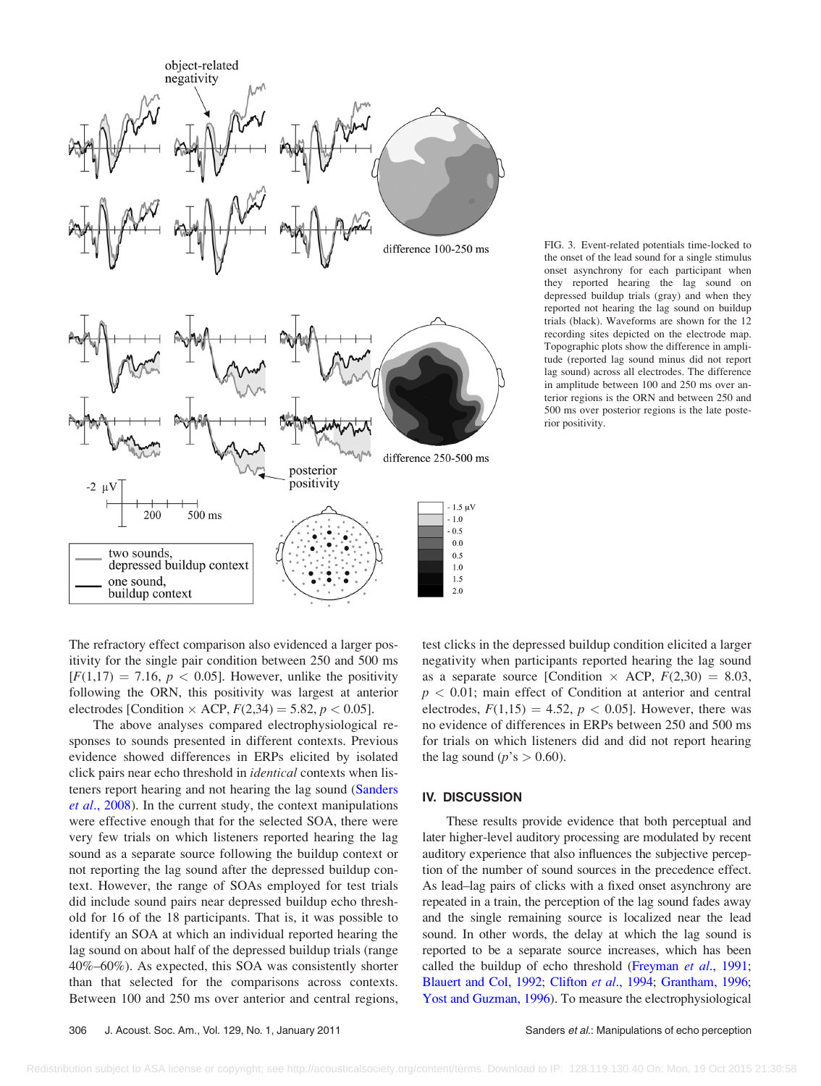<span id="page-5-0"></span>

FIG. 3. Event-related potentials time-locked to the onset of the lead sound for a single stimulus onset asynchrony for each participant when they reported hearing the lag sound on depressed buildup trials (gray) and when they reported not hearing the lag sound on buildup trials (black). Waveforms are shown for the 12 recording sites depicted on the electrode map. Topographic plots show the difference in amplitude (reported lag sound minus did not report lag sound) across all electrodes. The difference in amplitude between 100 and 250 ms over anterior regions is the ORN and between 250 and 500 ms over posterior regions is the late posterior positivity.

The refractory effect comparison also evidenced a larger positivity for the single pair condition between 250 and 500 ms  $[F(1,17) = 7.16, p < 0.05]$ . However, unlike the positivity following the ORN, this positivity was largest at anterior electrodes [Condition  $\times$  ACP,  $F(2,34) = 5.82, p < 0.05$ ].

The above analyses compared electrophysiological responses to sounds presented in different contexts. Previous evidence showed differences in ERPs elicited by isolated click pairs near echo threshold in identical contexts when listeners report hearing and not hearing the lag sound [\(Sanders](#page-8-0) et al[., 2008\)](#page-8-0). In the current study, the context manipulations were effective enough that for the selected SOA, there were very few trials on which listeners reported hearing the lag sound as a separate source following the buildup context or not reporting the lag sound after the depressed buildup context. However, the range of SOAs employed for test trials did include sound pairs near depressed buildup echo threshold for 16 of the 18 participants. That is, it was possible to identify an SOA at which an individual reported hearing the lag sound on about half of the depressed buildup trials (range 40%–60%). As expected, this SOA was consistently shorter than that selected for the comparisons across contexts. Between 100 and 250 ms over anterior and central regions, test clicks in the depressed buildup condition elicited a larger negativity when participants reported hearing the lag sound as a separate source [Condition  $\times$  ACP,  $F(2,30) = 8.03$ ,  $p < 0.01$ ; main effect of Condition at anterior and central electrodes,  $F(1,15) = 4.52$ ,  $p < 0.05$ ]. However, there was no evidence of differences in ERPs between 250 and 500 ms for trials on which listeners did and did not report hearing the lag sound ( $p$ 's  $> 0.60$ ).

#### IV. DISCUSSION

These results provide evidence that both perceptual and later higher-level auditory processing are modulated by recent auditory experience that also influences the subjective perception of the number of sound sources in the precedence effect. As lead–lag pairs of clicks with a fixed onset asynchrony are repeated in a train, the perception of the lag sound fades away and the single remaining source is localized near the lead sound. In other words, the delay at which the lag sound is reported to be a separate source increases, which has been called the buildup of echo threshold [\(Freyman](#page-8-0) et al., 1991; [Blauert and Col, 1992](#page-8-0); [Clifton](#page-8-0) et al., 1994; [Grantham, 1996;](#page-8-0) [Yost and Guzman, 1996](#page-8-0)). To measure the electrophysiological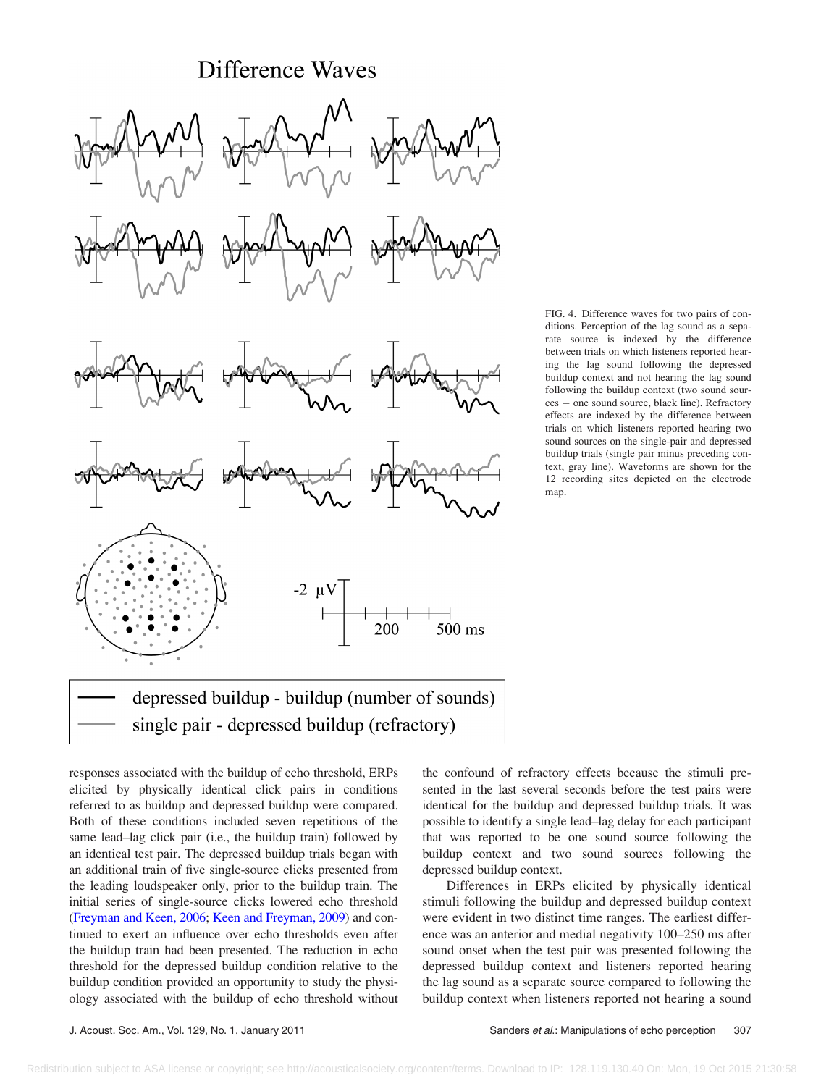# **Difference Waves**

<span id="page-6-0"></span>

FIG. 4. Difference waves for two pairs of conditions. Perception of the lag sound as a separate source is indexed by the difference between trials on which listeners reported hearing the lag sound following the depressed buildup context and not hearing the lag sound following the buildup context (two sound sour $ces - one sound source, black line)$ . Refractory effects are indexed by the difference between trials on which listeners reported hearing two sound sources on the single-pair and depressed buildup trials (single pair minus preceding context, gray line). Waveforms are shown for the 12 recording sites depicted on the electrode map.

responses associated with the buildup of echo threshold, ERPs elicited by physically identical click pairs in conditions referred to as buildup and depressed buildup were compared. Both of these conditions included seven repetitions of the same lead–lag click pair (i.e., the buildup train) followed by an identical test pair. The depressed buildup trials began with an additional train of five single-source clicks presented from the leading loudspeaker only, prior to the buildup train. The initial series of single-source clicks lowered echo threshold ([Freyman and Keen, 2006;](#page-8-0) [Keen and Freyman, 2009](#page-8-0)) and continued to exert an influence over echo thresholds even after the buildup train had been presented. The reduction in echo threshold for the depressed buildup condition relative to the buildup condition provided an opportunity to study the physiology associated with the buildup of echo threshold without

the confound of refractory effects because the stimuli presented in the last several seconds before the test pairs were identical for the buildup and depressed buildup trials. It was possible to identify a single lead–lag delay for each participant that was reported to be one sound source following the buildup context and two sound sources following the depressed buildup context.

Differences in ERPs elicited by physically identical stimuli following the buildup and depressed buildup context were evident in two distinct time ranges. The earliest difference was an anterior and medial negativity 100–250 ms after sound onset when the test pair was presented following the depressed buildup context and listeners reported hearing the lag sound as a separate source compared to following the buildup context when listeners reported not hearing a sound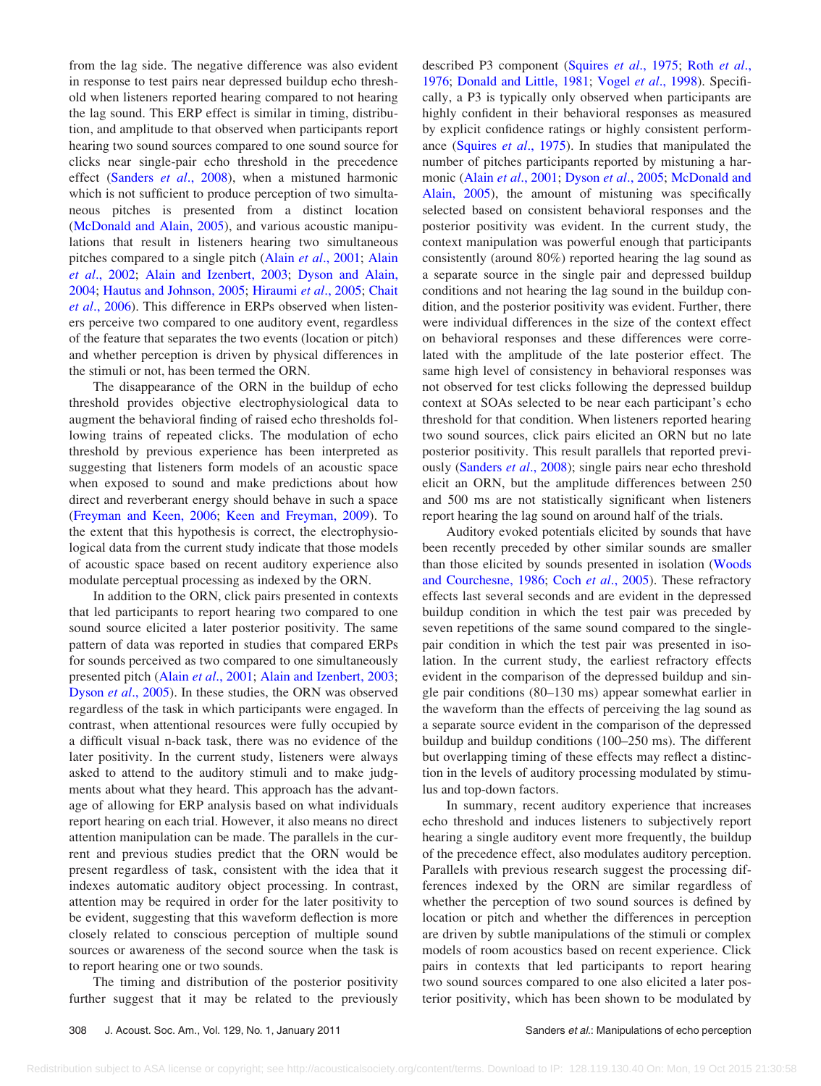from the lag side. The negative difference was also evident in response to test pairs near depressed buildup echo threshold when listeners reported hearing compared to not hearing the lag sound. This ERP effect is similar in timing, distribution, and amplitude to that observed when participants report hearing two sound sources compared to one sound source for clicks near single-pair echo threshold in the precedence effect ([Sanders](#page-8-0) et al., 2008), when a mistuned harmonic which is not sufficient to produce perception of two simultaneous pitches is presented from a distinct location ([McDonald and Alain, 2005](#page-8-0)), and various acoustic manipulations that result in listeners hearing two simultaneous pitches compared to a single pitch (Alain et al[., 2001;](#page-8-0) [Alain](#page-8-0) et al[., 2002;](#page-8-0) [Alain and Izenbert, 2003;](#page-8-0) [Dyson and Alain,](#page-8-0) [2004;](#page-8-0) [Hautus and Johnson, 2005;](#page-8-0) [Hiraumi](#page-8-0) et al., 2005; [Chait](#page-8-0) et al[., 2006\)](#page-8-0). This difference in ERPs observed when listeners perceive two compared to one auditory event, regardless of the feature that separates the two events (location or pitch) and whether perception is driven by physical differences in the stimuli or not, has been termed the ORN.

The disappearance of the ORN in the buildup of echo threshold provides objective electrophysiological data to augment the behavioral finding of raised echo thresholds following trains of repeated clicks. The modulation of echo threshold by previous experience has been interpreted as suggesting that listeners form models of an acoustic space when exposed to sound and make predictions about how direct and reverberant energy should behave in such a space ([Freyman and Keen, 2006;](#page-8-0) [Keen and Freyman, 2009\)](#page-8-0). To the extent that this hypothesis is correct, the electrophysiological data from the current study indicate that those models of acoustic space based on recent auditory experience also modulate perceptual processing as indexed by the ORN.

In addition to the ORN, click pairs presented in contexts that led participants to report hearing two compared to one sound source elicited a later posterior positivity. The same pattern of data was reported in studies that compared ERPs for sounds perceived as two compared to one simultaneously presented pitch (Alain et al[., 2001;](#page-8-0) [Alain and Izenbert, 2003](#page-8-0); Dyson et al[., 2005](#page-8-0)). In these studies, the ORN was observed regardless of the task in which participants were engaged. In contrast, when attentional resources were fully occupied by a difficult visual n-back task, there was no evidence of the later positivity. In the current study, listeners were always asked to attend to the auditory stimuli and to make judgments about what they heard. This approach has the advantage of allowing for ERP analysis based on what individuals report hearing on each trial. However, it also means no direct attention manipulation can be made. The parallels in the current and previous studies predict that the ORN would be present regardless of task, consistent with the idea that it indexes automatic auditory object processing. In contrast, attention may be required in order for the later positivity to be evident, suggesting that this waveform deflection is more closely related to conscious perception of multiple sound sources or awareness of the second source when the task is to report hearing one or two sounds.

The timing and distribution of the posterior positivity further suggest that it may be related to the previously described P3 component ([Squires](#page-8-0) et al., 1975; [Roth](#page-8-0) et al., [1976;](#page-8-0) [Donald and Little, 1981](#page-8-0); Vogel et al[., 1998](#page-8-0)). Specifically, a P3 is typically only observed when participants are highly confident in their behavioral responses as measured by explicit confidence ratings or highly consistent perform-ance ([Squires](#page-8-0) et al., 1975). In studies that manipulated the number of pitches participants reported by mistuning a har-monic (Alain et al[., 2001](#page-8-0); Dyson et al[., 2005](#page-8-0); [McDonald and](#page-8-0) [Alain, 2005\)](#page-8-0), the amount of mistuning was specifically selected based on consistent behavioral responses and the posterior positivity was evident. In the current study, the context manipulation was powerful enough that participants consistently (around 80%) reported hearing the lag sound as a separate source in the single pair and depressed buildup conditions and not hearing the lag sound in the buildup condition, and the posterior positivity was evident. Further, there were individual differences in the size of the context effect on behavioral responses and these differences were correlated with the amplitude of the late posterior effect. The same high level of consistency in behavioral responses was not observed for test clicks following the depressed buildup context at SOAs selected to be near each participant's echo threshold for that condition. When listeners reported hearing two sound sources, click pairs elicited an ORN but no late posterior positivity. This result parallels that reported previ-ously ([Sanders](#page-8-0) et al., 2008); single pairs near echo threshold elicit an ORN, but the amplitude differences between 250 and 500 ms are not statistically significant when listeners report hearing the lag sound on around half of the trials.

Auditory evoked potentials elicited by sounds that have been recently preceded by other similar sounds are smaller than those elicited by sounds presented in isolation [\(Woods](#page-8-0) [and Courchesne, 1986](#page-8-0); Coch et al[., 2005](#page-8-0)). These refractory effects last several seconds and are evident in the depressed buildup condition in which the test pair was preceded by seven repetitions of the same sound compared to the singlepair condition in which the test pair was presented in isolation. In the current study, the earliest refractory effects evident in the comparison of the depressed buildup and single pair conditions (80–130 ms) appear somewhat earlier in the waveform than the effects of perceiving the lag sound as a separate source evident in the comparison of the depressed buildup and buildup conditions (100–250 ms). The different but overlapping timing of these effects may reflect a distinction in the levels of auditory processing modulated by stimulus and top-down factors.

In summary, recent auditory experience that increases echo threshold and induces listeners to subjectively report hearing a single auditory event more frequently, the buildup of the precedence effect, also modulates auditory perception. Parallels with previous research suggest the processing differences indexed by the ORN are similar regardless of whether the perception of two sound sources is defined by location or pitch and whether the differences in perception are driven by subtle manipulations of the stimuli or complex models of room acoustics based on recent experience. Click pairs in contexts that led participants to report hearing two sound sources compared to one also elicited a later posterior positivity, which has been shown to be modulated by